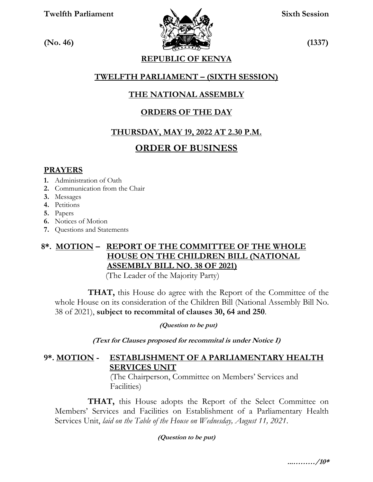**Twelfth Parliament Sixth Session**



**REPUBLIC OF KENYA**

## **TWELFTH PARLIAMENT – (SIXTH SESSION)**

## **THE NATIONAL ASSEMBLY**

## **ORDERS OF THE DAY**

## **THURSDAY, MAY 19, 2022 AT 2.30 P.M.**

## **ORDER OF BUSINESS**

#### **PRAYERS**

- **1.** Administration of Oath
- **2.** Communication from the Chair
- **3.** Messages
- **4.** Petitions
- **5.** Papers
- **6.** Notices of Motion
- **7.** Questions and Statements

## **8\*. MOTION – REPORT OF THE COMMITTEE OF THE WHOLE HOUSE ON THE CHILDREN BILL (NATIONAL ASSEMBLY BILL NO. 38 OF 2021)**

(The Leader of the Majority Party)

 **THAT,** this House do agree with the Report of the Committee of the whole House on its consideration of the Children Bill (National Assembly Bill No. 38 of 2021), **subject to recommital of clauses 30, 64 and 250**.

**(Question to be put)**

**(Text for Clauses proposed for recommital is under Notice I)**

## **9\*. MOTION - ESTABLISHMENT OF A PARLIAMENTARY HEALTH SERVICES UNIT**

(The Chairperson, Committee on Members' Services and Facilities)

**THAT,** this House adopts the Report of the Select Committee on Members' Services and Facilities on Establishment of a Parliamentary Health Services Unit, *laid on the Table of the House on Wednesday, August 11, 2021*.

**(Question to be put)**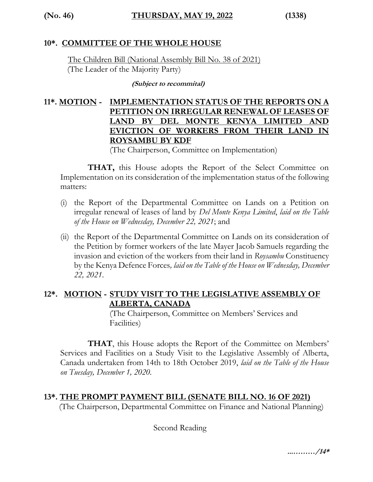## **10\*. COMMITTEE OF THE WHOLE HOUSE**

The Children Bill (National Assembly Bill No. 38 of 2021) (The Leader of the Majority Party)

**(Subject to recommital)**

## **11\*. MOTION - IMPLEMENTATION STATUS OF THE REPORTS ON A PETITION ON IRREGULAR RENEWAL OF LEASES OF LAND BY DEL MONTE KENYA LIMITED AND EVICTION OF WORKERS FROM THEIR LAND IN ROYSAMBU BY KDF**

(The Chairperson, Committee on Implementation)

**THAT,** this House adopts the Report of the Select Committee on Implementation on its consideration of the implementation status of the following matters:

- (i) the Report of the Departmental Committee on Lands on a Petition on irregular renewal of leases of land by *Del Monte Kenya Limited*, *laid on the Table of the House on Wednesday, December 22, 2021*; and
- (ii) the Report of the Departmental Committee on Lands on its consideration of the Petition by former workers of the late Mayer Jacob Samuels regarding the invasion and eviction of the workers from their land in *Roysambu* Constituency by the Kenya Defence Forces*, laid on the Table of the House on Wednesday, December 22, 2021*.

## **12\*. MOTION - STUDY VISIT TO THE LEGISLATIVE ASSEMBLY OF ALBERTA, CANADA**

(The Chairperson, Committee on Members' Services and Facilities)

**THAT**, this House adopts the Report of the Committee on Members' Services and Facilities on a Study Visit to the Legislative Assembly of Alberta, Canada undertaken from 14th to 18th October 2019, *laid on the Table of the House on Tuesday, December 1, 2020.*

## **13\*. THE PROMPT PAYMENT BILL (SENATE BILL NO. 16 OF 2021)**

(The Chairperson, Departmental Committee on Finance and National Planning)

Second Reading

**...………/14\***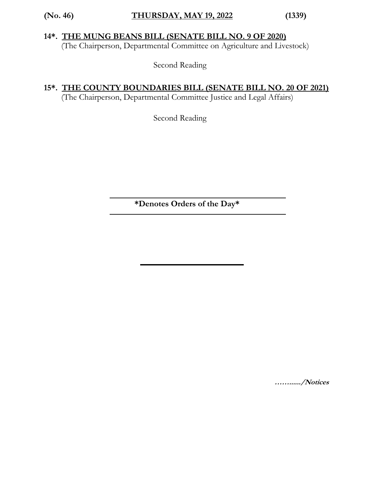## **14\*. THE MUNG BEANS BILL (SENATE BILL NO. 9 OF 2020)**

(The Chairperson, Departmental Committee on Agriculture and Livestock)

Second Reading

## **15\*. THE COUNTY BOUNDARIES BILL (SENATE BILL NO. 20 OF 2021)**

(The Chairperson, Departmental Committee Justice and Legal Affairs)

Second Reading

 **\*Denotes Orders of the Day\***

**……....../Notices**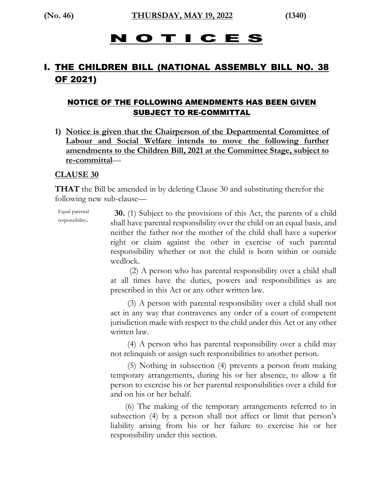## O T I C E S

## I. THE CHILDREN BILL (NATIONAL ASSEMBLY BILL NO. 38 OF 2021)

## NOTICE OF THE FOLLOWING AMENDMENTS HAS BEEN GIVEN SUBJECT TO RE-COMMITTAL

**1) Notice is given that the Chairperson of the Departmental Committee of Labour and Social Welfare intends to move the following further amendments to the Children Bill, 2021 at the Committee Stage, subject to re-committal**—

#### **CLAUSE 30**

**THAT** the Bill be amended in by deleting Clause 30 and substituting therefor the following new sub-clause—

Equal parental responsibility. **30.** (1) Subject to the provisions of this Act, the parents of a child shall have parental responsibility over the child on an equal basis, and neither the father nor the mother of the child shall have a superior right or claim against the other in exercise of such parental responsibility whether or not the child is born within or outside wedlock.

> (2) A person who has parental responsibility over a child shall at all times have the duties, powers and responsibilities as are prescribed in this Act or any other written law.

> (3) A person with parental responsibility over a child shall not act in any way that contravenes any order of a court of competent jurisdiction made with respect to the child under this Act or any other written law.

> (4) A person who has parental responsibility over a child may not relinquish or assign such responsibilities to another person.

> (5) Nothing in subsection (4) prevents a person from making temporary arrangements, during his or her absence, to allow a fit person to exercise his or her parental responsibilities over a child for and on his or her behalf.

> (6) The making of the temporary arrangements referred to in subsection (4) by a person shall not affect or limit that person's liability arising from his or her failure to exercise his or her responsibility under this section.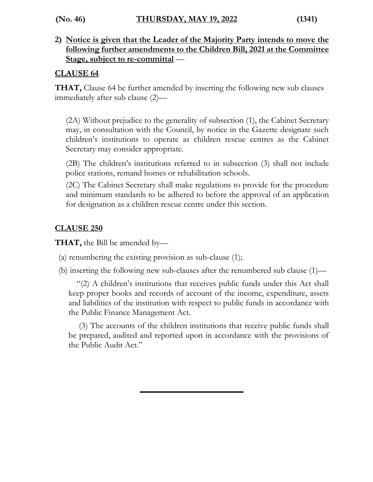**2) Notice is given that the Leader of the Majority Party intends to move the following further amendments to the Children Bill, 2021 at the Committee Stage, subject to re-committal** —

## **CLAUSE 64**

**THAT,** Clause 64 be further amended by inserting the following new sub clauses immediately after sub clause (2)—

(2A) Without prejudice to the generality of subsection (1), the Cabinet Secretary may, in consultation with the Council, by notice in the Gazette designate such children's institutions to operate as children rescue centres as the Cabinet Secretary may consider appropriate.

(2B) The children's institutions referred to in subsection (3) shall not include police stations, remand homes or rehabilitation schools.

(2C) The Cabinet Secretary shall make regulations to provide for the procedure and minimum standards to be adhered to before the approval of an application for designation as a children rescue centre under this section.

## **CLAUSE 250**

**THAT,** the Bill be amended by—

- (a) renumbering the existing provision as sub-clause (1);
- (b) inserting the following new sub-clauses after the renumbered sub clause (1)—

"(2) A children's institutions that receives public funds under this Act shall keep proper books and records of account of the income, expenditure, assets and liabilities of the institution with respect to public funds in accordance with the Public Finance Management Act.

(3) The accounts of the children institutions that receive public funds shall be prepared, audited and reported upon in accordance with the provisions of the Public Audit Act."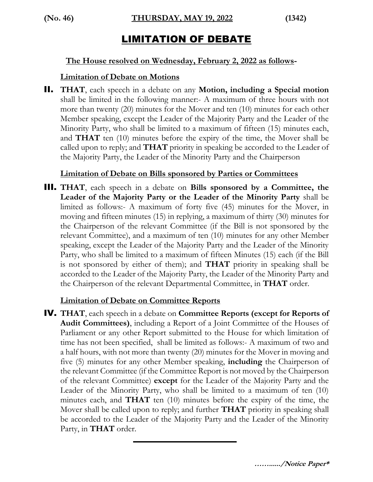## LIMITATION OF DEBATE

#### **The House resolved on Wednesday, February 2, 2022 as follows-**

#### **Limitation of Debate on Motions**

II. **THAT**, each speech in a debate on any **Motion, including a Special motion** shall be limited in the following manner:- A maximum of three hours with not more than twenty (20) minutes for the Mover and ten (10) minutes for each other Member speaking, except the Leader of the Majority Party and the Leader of the Minority Party, who shall be limited to a maximum of fifteen (15) minutes each, and **THAT** ten (10) minutes before the expiry of the time, the Mover shall be called upon to reply; and **THAT** priority in speaking be accorded to the Leader of the Majority Party, the Leader of the Minority Party and the Chairperson

## **Limitation of Debate on Bills sponsored by Parties or Committees**

III. **THAT**, each speech in a debate on **Bills sponsored by a Committee, the Leader of the Majority Party or the Leader of the Minority Party** shall be limited as follows:- A maximum of forty five (45) minutes for the Mover, in moving and fifteen minutes (15) in replying, a maximum of thirty (30) minutes for the Chairperson of the relevant Committee (if the Bill is not sponsored by the relevant Committee), and a maximum of ten (10) minutes for any other Member speaking, except the Leader of the Majority Party and the Leader of the Minority Party, who shall be limited to a maximum of fifteen Minutes (15) each (if the Bill is not sponsored by either of them); and **THAT** priority in speaking shall be accorded to the Leader of the Majority Party, the Leader of the Minority Party and the Chairperson of the relevant Departmental Committee, in **THAT** order.

## **Limitation of Debate on Committee Reports**

IV. **THAT**, each speech in a debate on **Committee Reports (except for Reports of Audit Committees)**, including a Report of a Joint Committee of the Houses of Parliament or any other Report submitted to the House for which limitation of time has not been specified, shall be limited as follows:- A maximum of two and a half hours, with not more than twenty (20) minutes for the Mover in moving and five (5) minutes for any other Member speaking, **including** the Chairperson of the relevant Committee (if the Committee Report is not moved by the Chairperson of the relevant Committee) **except** for the Leader of the Majority Party and the Leader of the Minority Party, who shall be limited to a maximum of ten (10) minutes each, and **THAT** ten (10) minutes before the expiry of the time, the Mover shall be called upon to reply; and further **THAT** priority in speaking shall be accorded to the Leader of the Majority Party and the Leader of the Minority Party, in **THAT** order.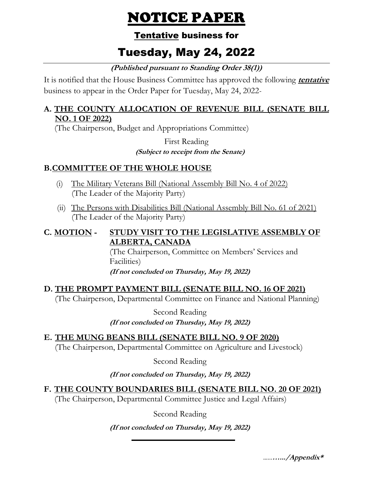# NOTICE PAPER

## Tentative business for

# Tuesday, May 24, 2022

**(Published pursuant to Standing Order 38(1))**

It is notified that the House Business Committee has approved the following **tentative** business to appear in the Order Paper for Tuesday, May 24, 2022*-*

## **A. THE COUNTY ALLOCATION OF REVENUE BILL (SENATE BILL NO. 1 OF 2022)**

(The Chairperson, Budget and Appropriations Committee)

First Reading  **(Subject to receipt from the Senate)**

## **B.COMMITTEE OF THE WHOLE HOUSE**

- (i) The Military Veterans Bill (National Assembly Bill No. 4 of 2022) (The Leader of the Majority Party)
- (ii) The Persons with Disabilities Bill (National Assembly Bill No. 61 of 2021) (The Leader of the Majority Party)

## **C. MOTION - STUDY VISIT TO THE LEGISLATIVE ASSEMBLY OF ALBERTA, CANADA**

(The Chairperson, Committee on Members' Services and Facilities)

**(If not concluded on Thursday, May 19, 2022)**

## **D. THE PROMPT PAYMENT BILL (SENATE BILL NO. 16 OF 2021)**

(The Chairperson, Departmental Committee on Finance and National Planning)

Second Reading **(If not concluded on Thursday, May 19, 2022)**

**E. THE MUNG BEANS BILL (SENATE BILL NO. 9 OF 2020)** (The Chairperson, Departmental Committee on Agriculture and Livestock)

Second Reading

**(If not concluded on Thursday, May 19, 2022)**

**F. THE COUNTY BOUNDARIES BILL (SENATE BILL NO. 20 OF 2021)**

(The Chairperson, Departmental Committee Justice and Legal Affairs)

Second Reading

**(If not concluded on Thursday, May 19, 2022)**

…...**….../Appendix\***